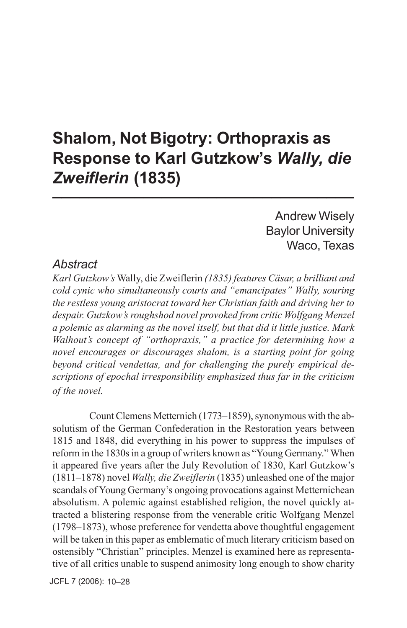# **Shalom, Not Bigotry: Orthopraxis as Response to Karl Gutzkow's** *Wally, die Zweiflerin* **(1835) \_\_\_\_\_\_\_\_\_\_\_\_\_\_\_\_\_\_\_\_\_\_\_\_\_\_\_\_\_\_\_\_\_**

### Andrew Wisely Baylor University Waco, Texas

### *Abstract*

*Karl Gutzkow's* Wally, die Zweiflerin *(1835) features Cäsar, a brilliant and cold cynic who simultaneously courts and "emancipates" Wally, souring the restless young aristocrat toward her Christian faith and driving her to despair. Gutzkow's roughshod novel provoked from critic Wolfgang Menzel a polemic as alarming as the novel itself, but that did it little justice. Mark Walhout's concept of "orthopraxis," a practice for determining how a novel encourages or discourages shalom, is a starting point for going beyond critical vendettas, and for challenging the purely empirical descriptions of epochal irresponsibility emphasized thus far in the criticism of the novel.*

Count Clemens Metternich (1773–1859), synonymous with the absolutism of the German Confederation in the Restoration years between 1815 and 1848, did everything in his power to suppress the impulses of reform in the 1830s in a group of writers known as "Young Germany." When it appeared five years after the July Revolution of 1830, Karl Gutzkow's (1811–1878) novel *Wally, die Zweiflerin* (1835) unleashed one of the major scandals of Young Germany's ongoing provocations against Metternichean absolutism. A polemic against established religion, the novel quickly attracted a blistering response from the venerable critic Wolfgang Menzel (1798–1873), whose preference for vendetta above thoughtful engagement will be taken in this paper as emblematic of much literary criticism based on ostensibly "Christian" principles. Menzel is examined here as representative of all critics unable to suspend animosity long enough to show charity

JCFL 7 (2006): 10–28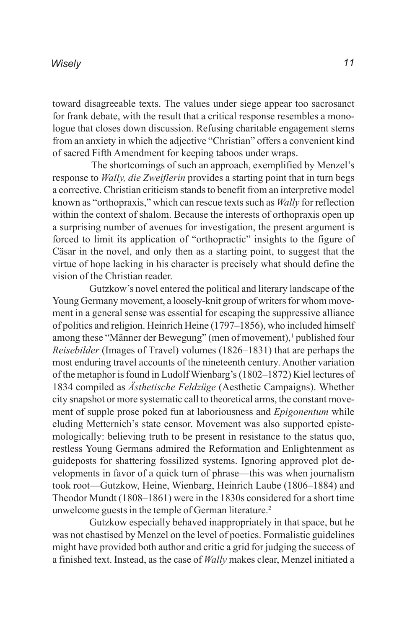toward disagreeable texts. The values under siege appear too sacrosanct for frank debate, with the result that a critical response resembles a monologue that closes down discussion. Refusing charitable engagement stems from an anxiety in which the adjective "Christian" offers a convenient kind of sacred Fifth Amendment for keeping taboos under wraps.

 The shortcomings of such an approach, exemplified by Menzel's response to *Wally, die Zweiflerin* provides a starting point that in turn begs a corrective. Christian criticism stands to benefit from an interpretive model known as "orthopraxis," which can rescue texts such as *Wally* for reflection within the context of shalom. Because the interests of orthopraxis open up a surprising number of avenues for investigation, the present argument is forced to limit its application of "orthopractic" insights to the figure of Cäsar in the novel, and only then as a starting point, to suggest that the virtue of hope lacking in his character is precisely what should define the vision of the Christian reader.

Gutzkow's novel entered the political and literary landscape of the Young Germany movement, a loosely-knit group of writers for whom movement in a general sense was essential for escaping the suppressive alliance of politics and religion. Heinrich Heine (1797–1856), who included himself among these "Männer der Bewegung" (men of movement),<sup>1</sup> published four *Reisebilder* (Images of Travel) volumes (1826–1831) that are perhaps the most enduring travel accounts of the nineteenth century. Another variation of the metaphor is found in Ludolf Wienbarg's (1802–1872) Kiel lectures of 1834 compiled as *Ästhetische Feldzüge* (Aesthetic Campaigns). Whether city snapshot or more systematic call to theoretical arms, the constant movement of supple prose poked fun at laboriousness and *Epigonentum* while eluding Metternich's state censor. Movement was also supported epistemologically: believing truth to be present in resistance to the status quo, restless Young Germans admired the Reformation and Enlightenment as guideposts for shattering fossilized systems. Ignoring approved plot developments in favor of a quick turn of phrase—this was when journalism took root—Gutzkow, Heine, Wienbarg, Heinrich Laube (1806–1884) and Theodor Mundt (1808–1861) were in the 1830s considered for a short time unwelcome guests in the temple of German literature.<sup>2</sup>

Gutzkow especially behaved inappropriately in that space, but he was not chastised by Menzel on the level of poetics. Formalistic guidelines might have provided both author and critic a grid for judging the success of a finished text. Instead, as the case of *Wally* makes clear, Menzel initiated a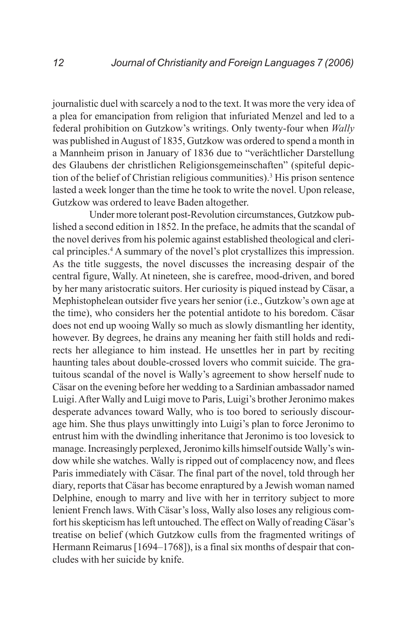journalistic duel with scarcely a nod to the text. It was more the very idea of a plea for emancipation from religion that infuriated Menzel and led to a federal prohibition on Gutzkow's writings. Only twenty-four when *Wally* was published in August of 1835, Gutzkow was ordered to spend a month in a Mannheim prison in January of 1836 due to "verächtlicher Darstellung des Glaubens der christlichen Religionsgemeinschaften" (spiteful depiction of the belief of Christian religious communities).<sup>3</sup> His prison sentence lasted a week longer than the time he took to write the novel. Upon release, Gutzkow was ordered to leave Baden altogether.

Under more tolerant post-Revolution circumstances, Gutzkow published a second edition in 1852. In the preface, he admits that the scandal of the novel derives from his polemic against established theological and clerical principles.<sup>4</sup> A summary of the novel's plot crystallizes this impression. As the title suggests, the novel discusses the increasing despair of the central figure, Wally. At nineteen, she is carefree, mood-driven, and bored by her many aristocratic suitors. Her curiosity is piqued instead by Cäsar, a Mephistophelean outsider five years her senior (i.e., Gutzkow's own age at the time), who considers her the potential antidote to his boredom. Cäsar does not end up wooing Wally so much as slowly dismantling her identity, however. By degrees, he drains any meaning her faith still holds and redirects her allegiance to him instead. He unsettles her in part by reciting haunting tales about double-crossed lovers who commit suicide. The gratuitous scandal of the novel is Wally's agreement to show herself nude to Cäsar on the evening before her wedding to a Sardinian ambassador named Luigi. After Wally and Luigi move to Paris, Luigi's brother Jeronimo makes desperate advances toward Wally, who is too bored to seriously discourage him. She thus plays unwittingly into Luigi's plan to force Jeronimo to entrust him with the dwindling inheritance that Jeronimo is too lovesick to manage. Increasingly perplexed, Jeronimo kills himself outside Wally's window while she watches. Wally is ripped out of complacency now, and flees Paris immediately with Cäsar. The final part of the novel, told through her diary, reports that Cäsar has become enraptured by a Jewish woman named Delphine, enough to marry and live with her in territory subject to more lenient French laws. With Cäsar's loss, Wally also loses any religious comfort his skepticism has left untouched. The effect on Wally of reading Cäsar's treatise on belief (which Gutzkow culls from the fragmented writings of Hermann Reimarus [1694–1768]), is a final six months of despair that concludes with her suicide by knife.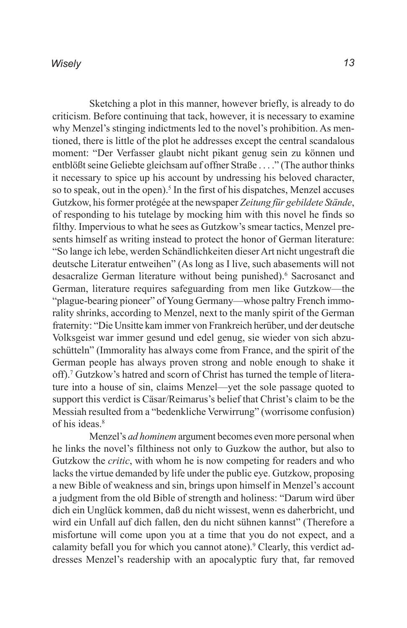Sketching a plot in this manner, however briefly, is already to do criticism. Before continuing that tack, however, it is necessary to examine why Menzel's stinging indictments led to the novel's prohibition. As mentioned, there is little of the plot he addresses except the central scandalous moment: "Der Verfasser glaubt nicht pikant genug sein zu können und entblößt seine Geliebte gleichsam auf offner Straße . . . ." (The author thinks it necessary to spice up his account by undressing his beloved character, so to speak, out in the open).<sup>5</sup> In the first of his dispatches, Menzel accuses Gutzkow, his former protégée at the newspaper *Zeitung für gebildete Stände*, of responding to his tutelage by mocking him with this novel he finds so filthy. Impervious to what he sees as Gutzkow's smear tactics, Menzel presents himself as writing instead to protect the honor of German literature: "So lange ich lebe, werden Schändlichkeiten dieser Art nicht ungestraft die deutsche Literatur entweihen" (As long as I live, such abasements will not desacralize German literature without being punished).<sup>6</sup> Sacrosanct and German, literature requires safeguarding from men like Gutzkow—the "plague-bearing pioneer" of Young Germany—whose paltry French immorality shrinks, according to Menzel, next to the manly spirit of the German fraternity: "Die Unsitte kam immer von Frankreich herüber, und der deutsche Volksgeist war immer gesund und edel genug, sie wieder von sich abzuschütteln" (Immorality has always come from France, and the spirit of the German people has always proven strong and noble enough to shake it off).<sup>7</sup> Gutzkow's hatred and scorn of Christ has turned the temple of literature into a house of sin, claims Menzel—yet the sole passage quoted to support this verdict is Cäsar/Reimarus's belief that Christ's claim to be the Messiah resulted from a "bedenkliche Verwirrung" (worrisome confusion) of his ideas.<sup>8</sup>

Menzel's *ad hominem* argument becomes even more personal when he links the novel's filthiness not only to Guzkow the author, but also to Gutzkow the *critic*, with whom he is now competing for readers and who lacks the virtue demanded by life under the public eye. Gutzkow, proposing a new Bible of weakness and sin, brings upon himself in Menzel's account a judgment from the old Bible of strength and holiness: "Darum wird über dich ein Unglück kommen, daß du nicht wissest, wenn es daherbricht, und wird ein Unfall auf dich fallen, den du nicht sühnen kannst" (Therefore a misfortune will come upon you at a time that you do not expect, and a calamity befall you for which you cannot atone).<sup>9</sup> Clearly, this verdict addresses Menzel's readership with an apocalyptic fury that, far removed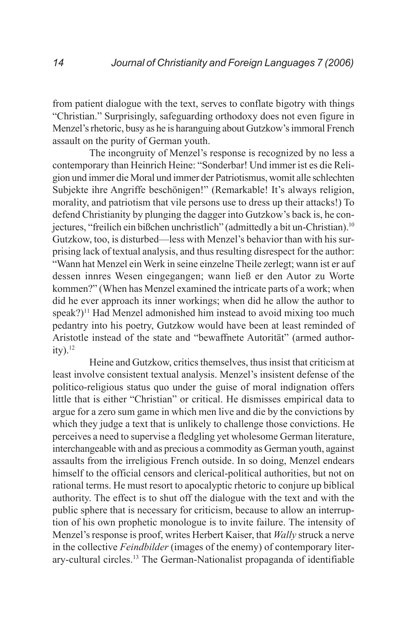from patient dialogue with the text, serves to conflate bigotry with things "Christian." Surprisingly, safeguarding orthodoxy does not even figure in Menzel's rhetoric, busy as he is haranguing about Gutzkow's immoral French assault on the purity of German youth.

The incongruity of Menzel's response is recognized by no less a contemporary than Heinrich Heine: "Sonderbar! Und immer ist es die Religion und immer die Moral und immer der Patriotismus, womit alle schlechten Subjekte ihre Angriffe beschönigen!" (Remarkable! It's always religion, morality, and patriotism that vile persons use to dress up their attacks!) To defend Christianity by plunging the dagger into Gutzkow's back is, he conjectures, "freilich ein bißchen unchristlich" (admittedly a bit un-Christian).10 Gutzkow, too, is disturbed—less with Menzel's behavior than with his surprising lack of textual analysis, and thus resulting disrespect for the author: "Wann hat Menzel ein Werk in seine einzelne Theile zerlegt; wann ist er auf dessen innres Wesen eingegangen; wann ließ er den Autor zu Worte kommen?" (When has Menzel examined the intricate parts of a work; when did he ever approach its inner workings; when did he allow the author to  $\text{speak}$ ?)<sup>11</sup> Had Menzel admonished him instead to avoid mixing too much pedantry into his poetry, Gutzkow would have been at least reminded of Aristotle instead of the state and "bewaffnete Autorität" (armed author $ity)$ .<sup>12</sup>

Heine and Gutzkow, critics themselves, thus insist that criticism at least involve consistent textual analysis. Menzel's insistent defense of the politico-religious status quo under the guise of moral indignation offers little that is either "Christian" or critical. He dismisses empirical data to argue for a zero sum game in which men live and die by the convictions by which they judge a text that is unlikely to challenge those convictions. He perceives a need to supervise a fledgling yet wholesome German literature, interchangeable with and as precious a commodity as German youth, against assaults from the irreligious French outside. In so doing, Menzel endears himself to the official censors and clerical-political authorities, but not on rational terms. He must resort to apocalyptic rhetoric to conjure up biblical authority. The effect is to shut off the dialogue with the text and with the public sphere that is necessary for criticism, because to allow an interruption of his own prophetic monologue is to invite failure. The intensity of Menzel's response is proof, writes Herbert Kaiser, that *Wally* struck a nerve in the collective *Feindbilder* (images of the enemy) of contemporary literary-cultural circles.13 The German-Nationalist propaganda of identifiable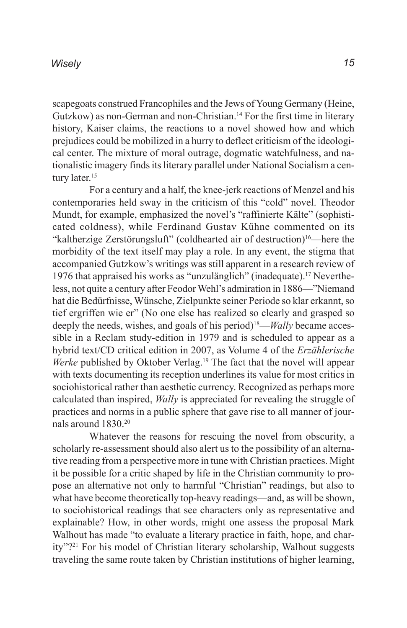scapegoats construed Francophiles and the Jews of Young Germany (Heine, Gutzkow) as non-German and non-Christian.<sup>14</sup> For the first time in literary history, Kaiser claims, the reactions to a novel showed how and which prejudices could be mobilized in a hurry to deflect criticism of the ideological center. The mixture of moral outrage, dogmatic watchfulness, and nationalistic imagery finds its literary parallel under National Socialism a century later.<sup>15</sup>

For a century and a half, the knee-jerk reactions of Menzel and his contemporaries held sway in the criticism of this "cold" novel. Theodor Mundt, for example, emphasized the novel's "raffinierte Kälte" (sophisticated coldness), while Ferdinand Gustav Kühne commented on its "kaltherzige Zerstörungsluft" (coldhearted air of destruction)16—here the morbidity of the text itself may play a role. In any event, the stigma that accompanied Gutzkow's writings was still apparent in a research review of 1976 that appraised his works as "unzulänglich" (inadequate).17 Nevertheless, not quite a century after Feodor Wehl's admiration in 1886—"Niemand hat die Bedürfnisse, Wünsche, Zielpunkte seiner Periode so klar erkannt, so tief ergriffen wie er" (No one else has realized so clearly and grasped so deeply the needs, wishes, and goals of his period)<sup>18</sup>—*Wally* became accessible in a Reclam study-edition in 1979 and is scheduled to appear as a hybrid text/CD critical edition in 2007, as Volume 4 of the *Erzählerische Werke* published by Oktober Verlag.<sup>19</sup> The fact that the novel will appear with texts documenting its reception underlines its value for most critics in sociohistorical rather than aesthetic currency. Recognized as perhaps more calculated than inspired, *Wally* is appreciated for revealing the struggle of practices and norms in a public sphere that gave rise to all manner of journals around 1830.20

Whatever the reasons for rescuing the novel from obscurity, a scholarly re-assessment should also alert us to the possibility of an alternative reading from a perspective more in tune with Christian practices. Might it be possible for a critic shaped by life in the Christian community to propose an alternative not only to harmful "Christian" readings, but also to what have become theoretically top-heavy readings—and, as will be shown, to sociohistorical readings that see characters only as representative and explainable? How, in other words, might one assess the proposal Mark Walhout has made "to evaluate a literary practice in faith, hope, and charity"?21 For his model of Christian literary scholarship, Walhout suggests traveling the same route taken by Christian institutions of higher learning,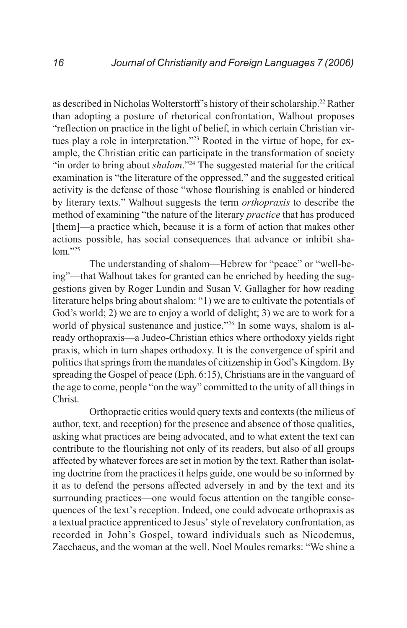as described in Nicholas Wolterstorff's history of their scholarship.22 Rather than adopting a posture of rhetorical confrontation, Walhout proposes "reflection on practice in the light of belief, in which certain Christian virtues play a role in interpretation."23 Rooted in the virtue of hope, for example, the Christian critic can participate in the transformation of society "in order to bring about *shalom*."<sup>24</sup> The suggested material for the critical examination is "the literature of the oppressed," and the suggested critical activity is the defense of those "whose flourishing is enabled or hindered by literary texts." Walhout suggests the term *orthopraxis* to describe the method of examining "the nature of the literary *practice* that has produced [them]—a practice which, because it is a form of action that makes other actions possible, has social consequences that advance or inhibit sha $l$ om $.25$ 

The understanding of shalom—Hebrew for "peace" or "well-being"—that Walhout takes for granted can be enriched by heeding the suggestions given by Roger Lundin and Susan V. Gallagher for how reading literature helps bring about shalom: "1) we are to cultivate the potentials of God's world; 2) we are to enjoy a world of delight; 3) we are to work for a world of physical sustenance and justice."<sup>26</sup> In some ways, shalom is already orthopraxis—a Judeo-Christian ethics where orthodoxy yields right praxis, which in turn shapes orthodoxy. It is the convergence of spirit and politics that springs from the mandates of citizenship in God's Kingdom. By spreading the Gospel of peace (Eph. 6:15), Christians are in the vanguard of the age to come, people "on the way" committed to the unity of all things in Christ.

Orthopractic critics would query texts and contexts (the milieus of author, text, and reception) for the presence and absence of those qualities, asking what practices are being advocated, and to what extent the text can contribute to the flourishing not only of its readers, but also of all groups affected by whatever forces are set in motion by the text. Rather than isolating doctrine from the practices it helps guide, one would be so informed by it as to defend the persons affected adversely in and by the text and its surrounding practices—one would focus attention on the tangible consequences of the text's reception. Indeed, one could advocate orthopraxis as a textual practice apprenticed to Jesus' style of revelatory confrontation, as recorded in John's Gospel, toward individuals such as Nicodemus, Zacchaeus, and the woman at the well. Noel Moules remarks: "We shine a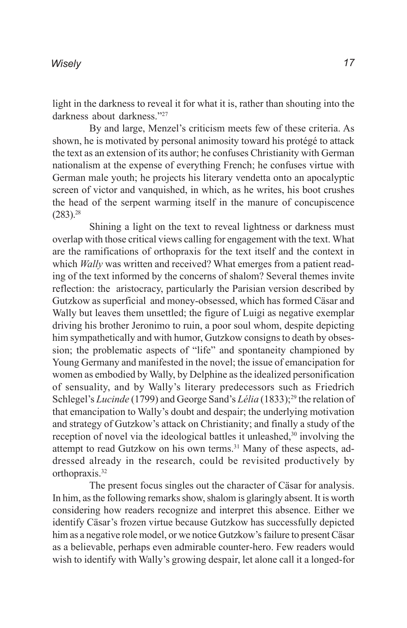light in the darkness to reveal it for what it is, rather than shouting into the darkness about darkness."27

By and large, Menzel's criticism meets few of these criteria. As shown, he is motivated by personal animosity toward his protégé to attack the text as an extension of its author; he confuses Christianity with German nationalism at the expense of everything French; he confuses virtue with German male youth; he projects his literary vendetta onto an apocalyptic screen of victor and vanquished, in which, as he writes, his boot crushes the head of the serpent warming itself in the manure of concupiscence  $(283).^{28}$ 

Shining a light on the text to reveal lightness or darkness must overlap with those critical views calling for engagement with the text. What are the ramifications of orthopraxis for the text itself and the context in which *Wally* was written and received? What emerges from a patient reading of the text informed by the concerns of shalom? Several themes invite reflection: the aristocracy, particularly the Parisian version described by Gutzkow as superficial and money-obsessed, which has formed Cäsar and Wally but leaves them unsettled; the figure of Luigi as negative exemplar driving his brother Jeronimo to ruin, a poor soul whom, despite depicting him sympathetically and with humor, Gutzkow consigns to death by obsession; the problematic aspects of "life" and spontaneity championed by Young Germany and manifested in the novel; the issue of emancipation for women as embodied by Wally, by Delphine as the idealized personification of sensuality, and by Wally's literary predecessors such as Friedrich Schlegel's *Lucinde* (1799) and George Sand's *Lélia* (1833);<sup>29</sup> the relation of that emancipation to Wally's doubt and despair; the underlying motivation and strategy of Gutzkow's attack on Christianity; and finally a study of the reception of novel via the ideological battles it unleashed,<sup>30</sup> involving the attempt to read Gutzkow on his own terms.<sup>31</sup> Many of these aspects, addressed already in the research, could be revisited productively by orthopraxis.<sup>32</sup>

The present focus singles out the character of Cäsar for analysis. In him, as the following remarks show, shalom is glaringly absent. It is worth considering how readers recognize and interpret this absence. Either we identify Cäsar's frozen virtue because Gutzkow has successfully depicted him as a negative role model, or we notice Gutzkow's failure to present Cäsar as a believable, perhaps even admirable counter-hero. Few readers would wish to identify with Wally's growing despair, let alone call it a longed-for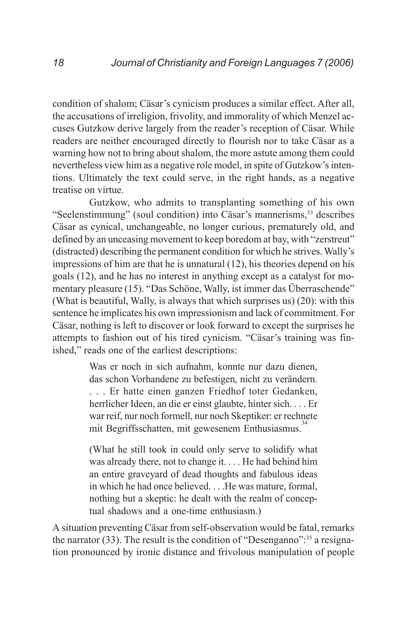condition of shalom; Cäsar's cynicism produces a similar effect. After all, the accusations of irreligion, frivolity, and immorality of which Menzel accuses Gutzkow derive largely from the reader's reception of Cäsar. While readers are neither encouraged directly to flourish nor to take Cäsar as a warning how not to bring about shalom, the more astute among them could nevertheless view him as a negative role model, in spite of Gutzkow's intentions. Ultimately the text could serve, in the right hands, as a negative treatise on virtue.

Gutzkow, who admits to transplanting something of his own "Seelenstimmung" (soul condition) into Cäsar's mannerisms,<sup>33</sup> describes Cäsar as cynical, unchangeable, no longer curious, prematurely old, and defined by an unceasing movement to keep boredom at bay, with "zerstreut" (distracted) describing the permanent condition for which he strives. Wally's impressions of him are that he is unnatural (12), his theories depend on his goals (12), and he has no interest in anything except as a catalyst for momentary pleasure (15). "Das Schöne, Wally, ist immer das Überraschende" (What is beautiful, Wally, is always that which surprises us) (20): with this sentence he implicates his own impressionism and lack of commitment. For Cäsar, nothing is left to discover or look forward to except the surprises he attempts to fashion out of his tired cynicism. "Cäsar's training was finished," reads one of the earliest descriptions:

> Was er noch in sich aufnahm, konnte nur dazu dienen, das schon Vorhandene zu befestigen, nicht zu verändern. . . . Er hatte einen ganzen Friedhof toter Gedanken, herrlicher Ideen, an die er einst glaubte, hinter sich. . . . Er war reif, nur noch formell, nur noch Skeptiker: er rechnete mit Begriffsschatten, mit gewesenem Enthusiasmus.

> (What he still took in could only serve to solidify what was already there, not to change it. . . . He had behind him an entire graveyard of dead thoughts and fabulous ideas in which he had once believed. . . .He was mature, formal, nothing but a skeptic: he dealt with the realm of conceptual shadows and a one-time enthusiasm.)

A situation preventing Cäsar from self-observation would be fatal, remarks the narrator (33). The result is the condition of "Desenganno":35 a resignation pronounced by ironic distance and frivolous manipulation of people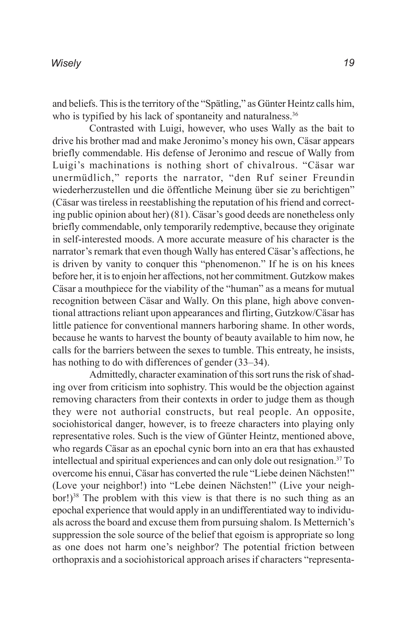and beliefs. This is the territory of the "Spätling," as Günter Heintz calls him, who is typified by his lack of spontaneity and naturalness.<sup>36</sup>

Contrasted with Luigi, however, who uses Wally as the bait to drive his brother mad and make Jeronimo's money his own, Cäsar appears briefly commendable. His defense of Jeronimo and rescue of Wally from Luigi's machinations is nothing short of chivalrous. "Cäsar war unermüdlich," reports the narrator, "den Ruf seiner Freundin wiederherzustellen und die öffentliche Meinung über sie zu berichtigen" (Cäsar was tireless in reestablishing the reputation of his friend and correcting public opinion about her) (81). Cäsar's good deeds are nonetheless only briefly commendable, only temporarily redemptive, because they originate in self-interested moods. A more accurate measure of his character is the narrator's remark that even though Wally has entered Cäsar's affections, he is driven by vanity to conquer this "phenomenon." If he is on his knees before her, it is to enjoin her affections, not her commitment. Gutzkow makes Cäsar a mouthpiece for the viability of the "human" as a means for mutual recognition between Cäsar and Wally. On this plane, high above conventional attractions reliant upon appearances and flirting, Gutzkow/Cäsar has little patience for conventional manners harboring shame. In other words, because he wants to harvest the bounty of beauty available to him now, he calls for the barriers between the sexes to tumble. This entreaty, he insists, has nothing to do with differences of gender  $(33-34)$ .

Admittedly, character examination of this sort runs the risk of shading over from criticism into sophistry. This would be the objection against removing characters from their contexts in order to judge them as though they were not authorial constructs, but real people. An opposite, sociohistorical danger, however, is to freeze characters into playing only representative roles. Such is the view of Günter Heintz, mentioned above, who regards Cäsar as an epochal cynic born into an era that has exhausted intellectual and spiritual experiences and can only dole out resignation.37 To overcome his ennui, Cäsar has converted the rule "Liebe deinen Nächsten!" (Love your neighbor!) into "Lebe deinen Nächsten!" (Live your neighbor!)<sup>38</sup> The problem with this view is that there is no such thing as an epochal experience that would apply in an undifferentiated way to individuals across the board and excuse them from pursuing shalom. Is Metternich's suppression the sole source of the belief that egoism is appropriate so long as one does not harm one's neighbor? The potential friction between orthopraxis and a sociohistorical approach arises if characters "representa-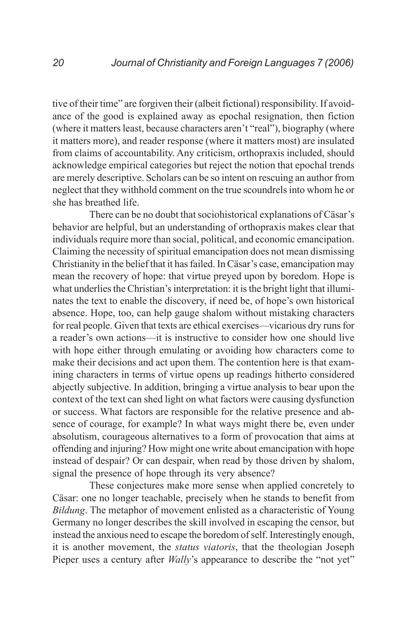tive of their time" are forgiven their (albeit fictional) responsibility. If avoidance of the good is explained away as epochal resignation, then fiction (where it matters least, because characters aren't "real"), biography (where it matters more), and reader response (where it matters most) are insulated from claims of accountability. Any criticism, orthopraxis included, should acknowledge empirical categories but reject the notion that epochal trends are merely descriptive. Scholars can be so intent on rescuing an author from neglect that they withhold comment on the true scoundrels into whom he or she has breathed life.

There can be no doubt that sociohistorical explanations of Cäsar's behavior are helpful, but an understanding of orthopraxis makes clear that individuals require more than social, political, and economic emancipation. Claiming the necessity of spiritual emancipation does not mean dismissing Christianity in the belief that it has failed. In Cäsar's case, emancipation may mean the recovery of hope: that virtue preyed upon by boredom. Hope is what underlies the Christian's interpretation: it is the bright light that illuminates the text to enable the discovery, if need be, of hope's own historical absence. Hope, too, can help gauge shalom without mistaking characters for real people. Given that texts are ethical exercises—vicarious dry runs for a reader's own actions—it is instructive to consider how one should live with hope either through emulating or avoiding how characters come to make their decisions and act upon them. The contention here is that examining characters in terms of virtue opens up readings hitherto considered abjectly subjective. In addition, bringing a virtue analysis to bear upon the context of the text can shed light on what factors were causing dysfunction or success. What factors are responsible for the relative presence and absence of courage, for example? In what ways might there be, even under absolutism, courageous alternatives to a form of provocation that aims at offending and injuring? How might one write about emancipation with hope instead of despair? Or can despair, when read by those driven by shalom, signal the presence of hope through its very absence?

These conjectures make more sense when applied concretely to Cäsar: one no longer teachable, precisely when he stands to benefit from *Bildung*. The metaphor of movement enlisted as a characteristic of Young Germany no longer describes the skill involved in escaping the censor, but instead the anxious need to escape the boredom of self. Interestingly enough, it is another movement, the *status viatoris*, that the theologian Joseph Pieper uses a century after *Wally*'s appearance to describe the "not yet"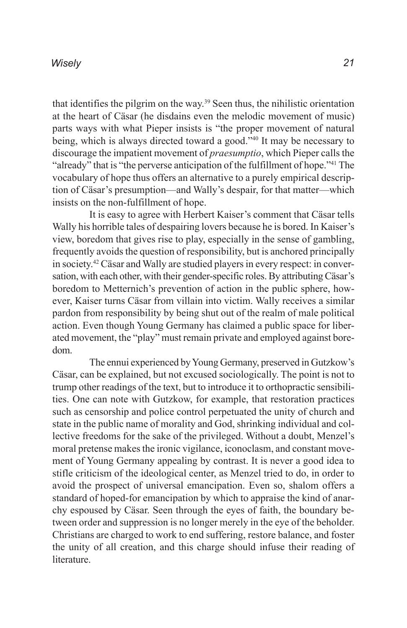that identifies the pilgrim on the way.39 Seen thus, the nihilistic orientation at the heart of Cäsar (he disdains even the melodic movement of music) parts ways with what Pieper insists is "the proper movement of natural being, which is always directed toward a good."<sup>40</sup> It may be necessary to discourage the impatient movement of *praesumptio*, which Pieper calls the "already" that is "the perverse anticipation of the fulfillment of hope."41 The vocabulary of hope thus offers an alternative to a purely empirical description of Cäsar's presumption—and Wally's despair, for that matter—which insists on the non-fulfillment of hope.

It is easy to agree with Herbert Kaiser's comment that Cäsar tells Wally his horrible tales of despairing lovers because he is bored. In Kaiser's view, boredom that gives rise to play, especially in the sense of gambling, frequently avoids the question of responsibility, but is anchored principally in society.42 Cäsar and Wally are studied players in every respect: in conversation, with each other, with their gender-specific roles. By attributing Cäsar's boredom to Metternich's prevention of action in the public sphere, however, Kaiser turns Cäsar from villain into victim. Wally receives a similar pardon from responsibility by being shut out of the realm of male political action. Even though Young Germany has claimed a public space for liberated movement, the "play" must remain private and employed against boredom.

The ennui experienced by Young Germany, preserved in Gutzkow's Cäsar, can be explained, but not excused sociologically. The point is not to trump other readings of the text, but to introduce it to orthopractic sensibilities. One can note with Gutzkow, for example, that restoration practices such as censorship and police control perpetuated the unity of church and state in the public name of morality and God, shrinking individual and collective freedoms for the sake of the privileged. Without a doubt, Menzel's moral pretense makes the ironic vigilance, iconoclasm, and constant movement of Young Germany appealing by contrast. It is never a good idea to stifle criticism of the ideological center, as Menzel tried to do, in order to avoid the prospect of universal emancipation. Even so, shalom offers a standard of hoped-for emancipation by which to appraise the kind of anarchy espoused by Cäsar. Seen through the eyes of faith, the boundary between order and suppression is no longer merely in the eye of the beholder. Christians are charged to work to end suffering, restore balance, and foster the unity of all creation, and this charge should infuse their reading of **literature**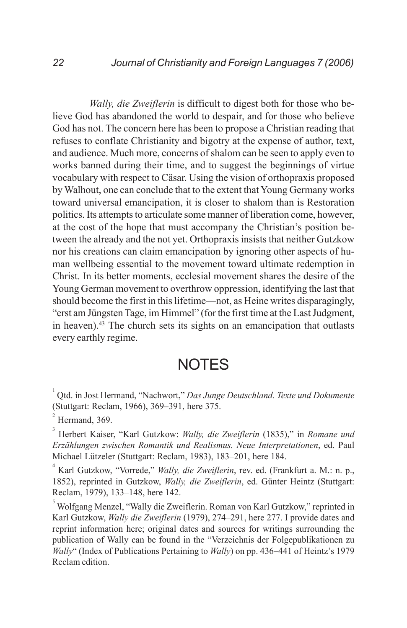*Wally, die Zweiflerin* is difficult to digest both for those who believe God has abandoned the world to despair, and for those who believe God has not. The concern here has been to propose a Christian reading that refuses to conflate Christianity and bigotry at the expense of author, text, and audience. Much more, concerns of shalom can be seen to apply even to works banned during their time, and to suggest the beginnings of virtue vocabulary with respect to Cäsar. Using the vision of orthopraxis proposed by Walhout, one can conclude that to the extent that Young Germany works toward universal emancipation, it is closer to shalom than is Restoration politics. Its attempts to articulate some manner of liberation come, however, at the cost of the hope that must accompany the Christian's position between the already and the not yet. Orthopraxis insists that neither Gutzkow nor his creations can claim emancipation by ignoring other aspects of human wellbeing essential to the movement toward ultimate redemption in Christ. In its better moments, ecclesial movement shares the desire of the Young German movement to overthrow oppression, identifying the last that should become the first in this lifetime—not, as Heine writes disparagingly, "erst am Jüngsten Tage, im Himmel" (for the first time at the Last Judgment, in heaven).43 The church sets its sights on an emancipation that outlasts every earthly regime.

## **NOTES**

1 Qtd. in Jost Hermand, "Nachwort," *Das Junge Deutschland. Texte und Dokumente* (Stuttgart: Reclam, 1966), 369–391, here 375.

2 Hermand, 369.

3 Herbert Kaiser, "Karl Gutzkow: *Wally, die Zweiflerin* (1835)," in *Romane und Erzählungen zwischen Romantik und Realismus. Neue Interpretationen*, ed. Paul Michael Lützeler (Stuttgart: Reclam, 1983), 183–201, here 184.

4 Karl Gutzkow, "Vorrede," *Wally, die Zweiflerin*, rev. ed. (Frankfurt a. M.: n. p., 1852), reprinted in Gutzkow, *Wally, die Zweiflerin*, ed. Günter Heintz (Stuttgart: Reclam, 1979), 133–148, here 142.

<sup>5</sup> Wolfgang Menzel, "Wally die Zweiflerin. Roman von Karl Gutzkow," reprinted in Karl Gutzkow, *Wally die Zweiflerin* (1979), 274–291, here 277. I provide dates and reprint information here; original dates and sources for writings surrounding the publication of Wally can be found in the "Verzeichnis der Folgepublikationen zu *Wally*" (Index of Publications Pertaining to *Wally*) on pp. 436–441 of Heintz's 1979 Reclam edition.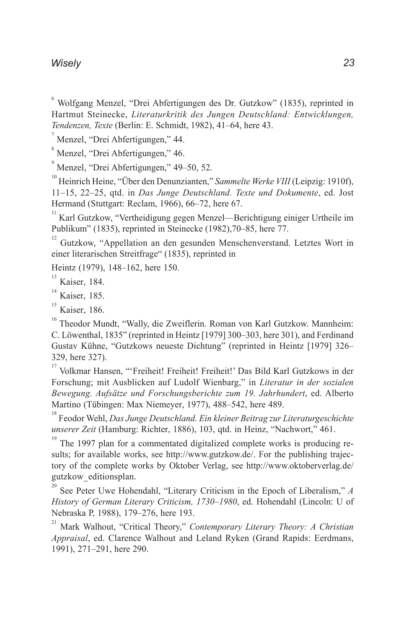#### *Wisely*

6 Wolfgang Menzel, "Drei Abfertigungen des Dr. Gutzkow" (1835), reprinted in Hartmut Steinecke, *Literaturkritik des Jungen Deutschland: Entwicklungen, Tendenzen, Texte* (Berlin: E. Schmidt, 1982), 41–64, here 43.

7 Menzel, "Drei Abfertigungen," 44.

8 Menzel, "Drei Abfertigungen," 46.

9 Menzel, "Drei Abfertigungen," 49–50, 52.

<sup>10</sup> Heinrich Heine, "Über den Denunzianten," Sammelte Werke VIII (Leipzig: 1910f), 11–15, 22–25, qtd. in *Das Junge Deutschland. Texte und Dokumente*, ed. Jost Hermand (Stuttgart: Reclam, 1966), 66–72, here 67.

11 Karl Gutzkow, "Vertheidigung gegen Menzel—Berichtigung einiger Urtheile im Publikum" (1835), reprinted in Steinecke (1982),70–85, here 77.

12 Gutzkow, "Appellation an den gesunden Menschenverstand. Letztes Wort in einer literarischen Streitfrage" (1835), reprinted in

Heintz (1979), 148–162, here 150.

 $<sup>13</sup>$  Kaiser, 184.</sup>

 $<sup>14</sup>$  Kaiser, 185.</sup>

 $15$  Kaiser, 186.

<sup>16</sup> Theodor Mundt, "Wally, die Zweiflerin. Roman von Karl Gutzkow. Mannheim: C. Löwenthal, 1835" (reprinted in Heintz [1979] 300–303, here 301), and Ferdinand Gustav Kühne, "Gutzkows neueste Dichtung" (reprinted in Heintz [1979] 326– 329, here 327).

<sup>17</sup> Volkmar Hansen, "'Freiheit! Freiheit! Freiheit!' Das Bild Karl Gutzkows in der Forschung; mit Ausblicken auf Ludolf Wienbarg," in *Literatur in der sozialen Bewegung. Aufsätze und Forschungsberichte zum 19. Jahrhundert*, ed. Alberto Martino (Tübingen: Max Niemeyer, 1977), 488–542, here 489.

18 Feodor Wehl, *Das Junge Deutschland. Ein kleiner Beitrag zur Literaturgeschichte unserer Zeit* (Hamburg: Richter, 1886), 103, qtd. in Heinz, "Nachwort," 461.

19 The 1997 plan for a commentated digitalized complete works is producing results; for available works, see http://www.gutzkow.de/. For the publishing trajectory of the complete works by Oktober Verlag, see http://www.oktoberverlag.de/ gutzkow\_editionsplan.

<sup>20</sup> See Peter Uwe Hohendahl, "Literary Criticism in the Epoch of Liberalism," *A History of German Literary Criticism, 1730–1980*, ed. Hohendahl (Lincoln: U of Nebraska P, 1988), 179–276, here 193.

21 Mark Walhout, "Critical Theory," *Contemporary Literary Theory: A Christian Appraisal*, ed. Clarence Walhout and Leland Ryken (Grand Rapids: Eerdmans, 1991), 271–291, here 290.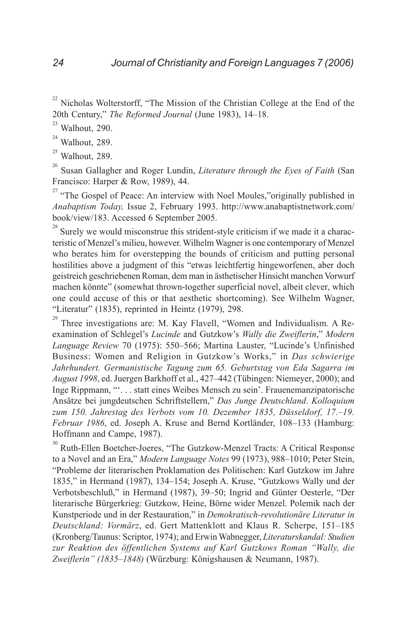Nicholas Wolterstorff, "The Mission of the Christian College at the End of the 20th Century," *The Reformed Journal* (June 1983), 14–18.

 $23$  Walhout, 290.

 $24$  Walhout, 289.

 $25$  Walhout, 289.

26 Susan Gallagher and Roger Lundin, *Literature through the Eyes of Faith* (San Francisco: Harper & Row, 1989), 44.

<sup>27</sup> "The Gospel of Peace: An interview with Noel Moules,"originally published in *Anabaptism Today,* Issue 2, February 1993. http://www.anabaptistnetwork.com/ book/view/183. Accessed 6 September 2005.

 $2<sup>28</sup>$  Surely we would misconstrue this strident-style criticism if we made it a characteristic of Menzel's milieu, however. Wilhelm Wagner is one contemporary of Menzel who berates him for overstepping the bounds of criticism and putting personal hostilities above a judgment of this "etwas leichtfertig hingeworfenen, aber doch geistreich geschriebenen Roman, dem man in ästhetischer Hinsicht manchen Vorwurf machen könnte" (somewhat thrown-together superficial novel, albeit clever, which one could accuse of this or that aesthetic shortcoming). See Wilhelm Wagner, "Literatur" (1835), reprinted in Heintz (1979), 298.<br> $^{29}$  These investigations are M. Kay Flavell. "Work

Three investigations are: M. Kay Flavell, "Women and Individualism. A Reexamination of Schlegel's *Lucinde* and Gutzkow's *Wally die Zweiflerin*," *Modern Language Review* 70 (1975): 550–566; Martina Lauster, "Lucinde's Unfinished Business: Women and Religion in Gutzkow's Works," in *Das schwierige Jahrhundert. Germanistische Tagung zum 65. Geburtstag von Eda Sagarra im August 1998*, ed. Juergen Barkhoff et al., 427–442 (Tübingen: Niemeyer, 2000); and Inge Rippmann, "'. . . statt eines Weibes Mensch zu sein'. Frauenemanzipatorische Ansätze bei jungdeutschen Schriftstellern," *Das Junge Deutschland*. *Kolloquium zum 150. Jahrestag des Verbots vom 10. Dezember 1835, Düsseldorf, 17.–19. Februar 1986*, ed. Joseph A. Kruse and Bernd Kortländer, 108–133 (Hamburg: Hoffmann and Campe, 1987).

30 Ruth-Ellen Boetcher-Joeres, "The Gutzkow-Menzel Tracts: A Critical Response to a Novel and an Era," *Modern Language Notes* 99 (1973), 988–1010; Peter Stein, "Probleme der literarischen Proklamation des Politischen: Karl Gutzkow im Jahre 1835," in Hermand (1987), 134–154; Joseph A. Kruse, "Gutzkows Wally und der Verbotsbeschluß," in Hermand (1987), 39–50; Ingrid and Günter Oesterle, "Der literarische Bürgerkrieg: Gutzkow, Heine, Börne wider Menzel. Polemik nach der Kunstperiode und in der Restauration," in *Demokratisch-revolutionäre Literatur in Deutschland: Vormärz*, ed. Gert Mattenklott and Klaus R. Scherpe, 151–185 (Kronberg/Taunus: Scriptor, 1974); and Erwin Wabnegger, *Literaturskandal: Studien zur Reaktion des öffentlichen Systems auf Karl Gutzkows Roman "Wally, die Zweiflerin" (1835–1848)* (Würzburg: Königshausen & Neumann, 1987).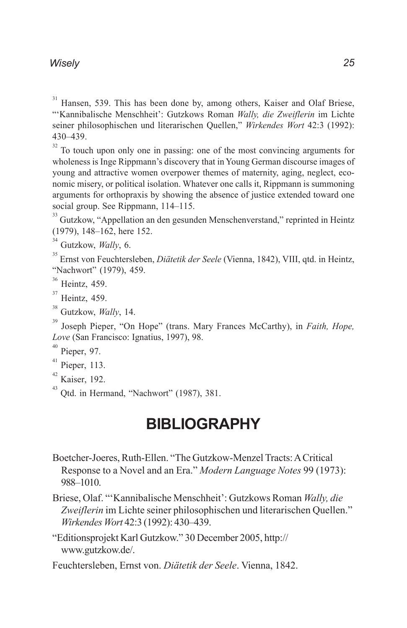### *Wisely*

31 Hansen, 539. This has been done by, among others, Kaiser and Olaf Briese, "'Kannibalische Menschheit': Gutzkows Roman *Wally, die Zweiflerin* im Lichte seiner philosophischen und literarischen Quellen," *Wirkendes Wort* 42:3 (1992): 430–439.

<sup>32</sup> To touch upon only one in passing: one of the most convincing arguments for wholeness is Inge Rippmann's discovery that in Young German discourse images of young and attractive women overpower themes of maternity, aging, neglect, economic misery, or political isolation. Whatever one calls it, Rippmann is summoning arguments for orthopraxis by showing the absence of justice extended toward one social group. See Rippmann, 114–115.

<sup>33</sup> Gutzkow, "Appellation an den gesunden Menschenverstand," reprinted in Heintz (1979), 148–162, here 152.

34 Gutzkow, *Wally*, 6.

35 Ernst von Feuchtersleben, *Diätetik der Seele* (Vienna, 1842), VIII, qtd. in Heintz, "Nachwort" (1979), 459.

 $\frac{36}{37}$  Heintz, 459.

Heintz, 459.

38 Gutzkow, *Wally*, 14.

39 Joseph Pieper, "On Hope" (trans. Mary Frances McCarthy), in *Faith, Hope, Love* (San Francisco: Ignatius, 1997), 98.

Pieper, 97.

- $41$  Pieper, 113.
- 42 Kaiser, 192.

<sup>43</sup> Otd. in Hermand, "Nachwort" (1987), 381.

## **BIBLIOGRAPHY**

Boetcher-Joeres, Ruth-Ellen. "The Gutzkow-Menzel Tracts: A Critical Response to a Novel and an Era." *Modern Language Notes* 99 (1973): 988–1010.

Briese, Olaf. "'Kannibalische Menschheit': Gutzkows Roman *Wally, die Zweiflerin* im Lichte seiner philosophischen und literarischen Quellen." *Wirkendes Wort* 42:3 (1992): 430–439.

"Editionsprojekt Karl Gutzkow." 30 December 2005, http:// www.gutzkow.de/.

Feuchtersleben, Ernst von. *Diätetik der Seele*. Vienna, 1842.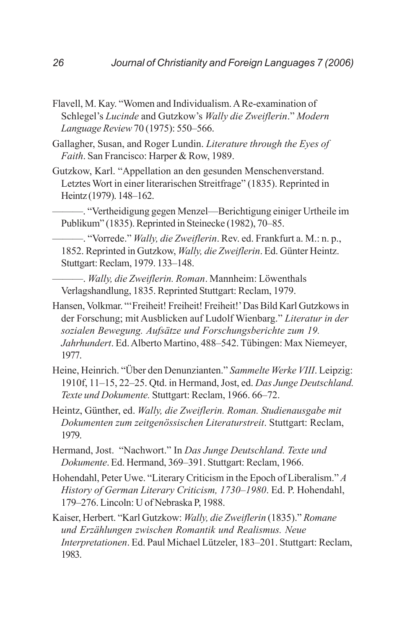- Flavell, M. Kay. "Women and Individualism. A Re-examination of Schlegel's *Lucinde* and Gutzkow's *Wally die Zweiflerin*." *Modern Language Review* 70 (1975): 550–566.
- Gallagher, Susan, and Roger Lundin. *Literature through the Eyes of Faith*. San Francisco: Harper & Row, 1989.
- Gutzkow, Karl. "Appellation an den gesunden Menschenverstand. Letztes Wort in einer literarischen Streitfrage" (1835). Reprinted in Heintz (1979). 148–162.

———. "Vertheidigung gegen Menzel—Berichtigung einiger Urtheile im Publikum" (1835). Reprinted in Steinecke (1982), 70–85.

———. "Vorrede." *Wally, die Zweiflerin*. Rev. ed. Frankfurt a. M.: n. p., 1852. Reprinted in Gutzkow, *Wally, die Zweiflerin*. Ed. Günter Heintz. Stuttgart: Reclam, 1979. 133–148.

———. *Wally, die Zweiflerin. Roman*. Mannheim: Löwenthals Verlagshandlung, 1835. Reprinted Stuttgart: Reclam, 1979.

- Hansen, Volkmar. "'Freiheit! Freiheit! Freiheit!' Das Bild Karl Gutzkows in der Forschung; mit Ausblicken auf Ludolf Wienbarg." *Literatur in der sozialen Bewegung. Aufsätze und Forschungsberichte zum 19. Jahrhundert*. Ed. Alberto Martino, 488–542. Tübingen: Max Niemeyer, 1977.
- Heine, Heinrich. "Über den Denunzianten." *Sammelte Werke VIII*. Leipzig: 1910f, 11–15, 22–25. Qtd. in Hermand, Jost, ed. *Das Junge Deutschland. Texte und Dokumente.* Stuttgart: Reclam, 1966. 66–72.
- Heintz, Günther, ed. *Wally, die Zweiflerin. Roman. Studienausgabe mit Dokumenten zum zeitgenössischen Literaturstreit*. Stuttgart: Reclam, 1979.

Hermand, Jost. "Nachwort." In *Das Junge Deutschland. Texte und Dokumente*. Ed. Hermand, 369–391. Stuttgart: Reclam, 1966.

Hohendahl, Peter Uwe. "Literary Criticism in the Epoch of Liberalism." *A History of German Literary Criticism, 1730–1980*. Ed. P. Hohendahl, 179–276. Lincoln: U of Nebraska P, 1988.

Kaiser, Herbert. "Karl Gutzkow: *Wally, die Zweiflerin* (1835)." *Romane und Erzählungen zwischen Romantik und Realismus. Neue Interpretationen*. Ed. Paul Michael Lützeler, 183–201. Stuttgart: Reclam, 1983.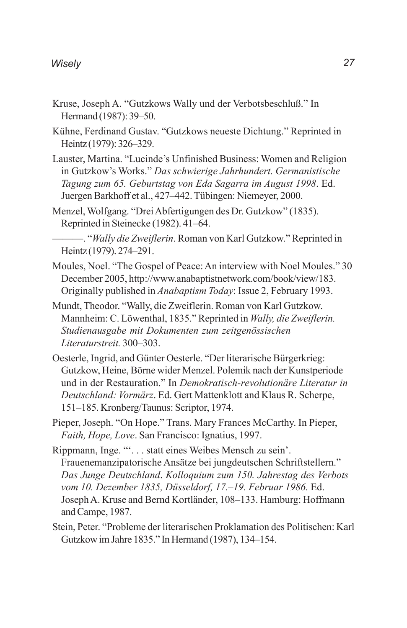- Kruse, Joseph A. "Gutzkows Wally und der Verbotsbeschluß." In Hermand (1987): 39–50.
- Kühne, Ferdinand Gustav. "Gutzkows neueste Dichtung." Reprinted in Heintz (1979): 326–329.
- Lauster, Martina. "Lucinde's Unfinished Business: Women and Religion in Gutzkow's Works." *Das schwierige Jahrhundert. Germanistische Tagung zum 65. Geburtstag von Eda Sagarra im August 1998*. Ed. Juergen Barkhoff et al., 427–442. Tübingen: Niemeyer, 2000.
- Menzel, Wolfgang. "Drei Abfertigungen des Dr. Gutzkow" (1835). Reprinted in Steinecke (1982). 41–64.

———. "*Wally die Zweiflerin*. Roman von Karl Gutzkow." Reprinted in Heintz (1979). 274–291.

- Moules, Noel. "The Gospel of Peace: An interview with Noel Moules." 30 December 2005, http://www.anabaptistnetwork.com/book/view/183. Originally published in *Anabaptism Today*: Issue 2, February 1993.
- Mundt, Theodor. "Wally, die Zweiflerin. Roman von Karl Gutzkow. Mannheim: C. Löwenthal, 1835." Reprinted in *Wally, die Zweiflerin. Studienausgabe mit Dokumenten zum zeitgenössischen Literaturstreit.* 300–303.
- Oesterle, Ingrid, and Günter Oesterle. "Der literarische Bürgerkrieg: Gutzkow, Heine, Börne wider Menzel. Polemik nach der Kunstperiode und in der Restauration." In *Demokratisch-revolutionäre Literatur in Deutschland: Vormärz*. Ed. Gert Mattenklott and Klaus R. Scherpe, 151–185. Kronberg/Taunus: Scriptor, 1974.
- Pieper, Joseph. "On Hope." Trans. Mary Frances McCarthy. In Pieper, *Faith, Hope, Love*. San Francisco: Ignatius, 1997.
- Rippmann, Inge. "'. . . statt eines Weibes Mensch zu sein'. Frauenemanzipatorische Ansätze bei jungdeutschen Schriftstellern." *Das Junge Deutschland*. *Kolloquium zum 150. Jahrestag des Verbots vom 10. Dezember 1835, Düsseldorf, 17.–19. Februar 1986.* Ed. Joseph A. Kruse and Bernd Kortländer, 108–133. Hamburg: Hoffmann and Campe, 1987.
- Stein, Peter. "Probleme der literarischen Proklamation des Politischen: Karl Gutzkow im Jahre 1835." In Hermand (1987), 134–154.